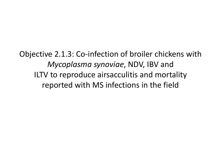Objective 2.1.3: Co-infection of broiler chickens with *Mycoplasma synoviae*, NDV, IBV and ILTV to reproduce airsacculitis and mortality reported with MS infections in the field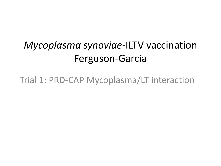#### *Mycoplasma synoviae*-ILTV vaccination Ferguson-Garcia

Trial 1: PRD-CAP Mycoplasma/LT interaction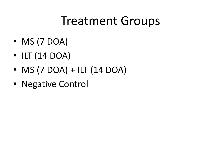### Treatment Groups

- MS (7 DOA)
- ILT (14 DOA)
- $\bullet$  MS (7 DOA) + ILT (14 DOA)
- Negative Control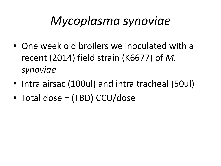# *Mycoplasma synoviae*

- One week old broilers we inoculated with a recent (2014) field strain (K6677) of *M. synoviae*
- Intra airsac (100ul) and intra tracheal (50ul)
- Total dose = (TBD) CCU/dose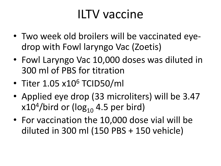## ILTV vaccine

- Two week old broilers will be vaccinated eyedrop with Fowl laryngo Vac (Zoetis)
- Fowl Laryngo Vac 10,000 doses was diluted in 300 ml of PBS for titration
- Titer 1.05 x10<sup>6</sup> TCID50/ml
- Applied eye drop (33 microliters) will be 3.47 x $10^4/\mathrm{bird}$  or (log $_{10}$  4.5 per bird)
- For vaccination the 10,000 dose vial will be diluted in 300 ml (150 PBS + 150 vehicle)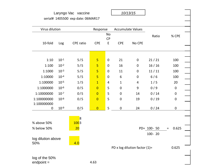|                    |           | Laryngo Vac vaccine               |                |             |              | 10/13/15                      |            |                  |  |
|--------------------|-----------|-----------------------------------|----------------|-------------|--------------|-------------------------------|------------|------------------|--|
|                    |           | serial# 1405500 exp date: 06MAR17 |                |             |              |                               |            |                  |  |
|                    |           |                                   |                |             |              |                               |            |                  |  |
| Virus dilution     |           |                                   | Response       |             |              | <b>Accumulate Values</b>      |            |                  |  |
|                    |           |                                   |                | No          |              |                               | Ratio      | % CPE            |  |
|                    |           |                                   |                | <b>CP</b>   |              |                               |            |                  |  |
| 10-fold            | Log       | CPE ratio                         | <b>CPE</b>     | E           | <b>CPE</b>   | No CPE                        |            |                  |  |
|                    |           |                                   |                |             |              |                               |            |                  |  |
| 1:10               | $10^{-1}$ | 5/5                               | 5              | $\mathbf 0$ | 21           | $\mathbf 0$                   | 21/21      | 100              |  |
| 1:100              | $10^{-2}$ | 5/5                               | 5              | $\mathbf 0$ | 16           | $\mathbf 0$                   | 16/16      | 100              |  |
| 1:1000             | $10^{-3}$ | 5/5                               | 5              | $\mathbf 0$ | 11           | $\mathbf 0$                   | 11/11      | 100              |  |
| 1:10000            | $10^{-4}$ | 5/5                               | $\overline{5}$ | $\mathbf 0$ | 6            | $\mathbf 0$                   | 6/6        | 100              |  |
| 1:100000           | $10^{-5}$ | 1/5                               | $\overline{1}$ | 4           | $\mathbf{1}$ | 4                             | 1/5        | 20               |  |
| 1:1000000          | $10^{-6}$ | 0/5                               | $\overline{0}$ | 5           | $\mathbf 0$  | 9                             | 0/9        | $\mathbf 0$      |  |
| 1:10000000         | $10^{-7}$ | 0/5                               | $\overline{0}$ | 5           | $\mathbf 0$  | 14                            | 0/14       | $\pmb{0}$        |  |
| 1:100000000        | $10^{-8}$ | 0/5                               | $\overline{0}$ | 5           | $\mathbf 0$  | 19                            | 0/19       | $\boldsymbol{0}$ |  |
| 1:100000000        |           |                                   |                |             |              |                               |            |                  |  |
| 0                  | $10^{-9}$ | 0/5                               | $\overline{0}$ | 5           | $\mathbf 0$  | 24                            | 0/24       | $\mathbf 0$      |  |
|                    |           | $\overline{\mathsf{8}}$           |                |             |              |                               |            |                  |  |
| % above 50%        |           | 1003                              |                |             |              |                               |            |                  |  |
| % below 50%        |           | 20                                |                |             |              |                               | PD= 100-50 | 0.625<br>Ξ       |  |
|                    |           |                                   |                |             |              |                               | $100 - 20$ |                  |  |
| log dilution above |           |                                   |                |             |              |                               |            |                  |  |
| 50%                |           | 4.0                               |                |             |              |                               |            |                  |  |
|                    |           |                                   |                |             |              | PD x log dilution factor (1)= |            | 0.625            |  |
| log of the 50%     |           |                                   |                |             |              |                               |            |                  |  |